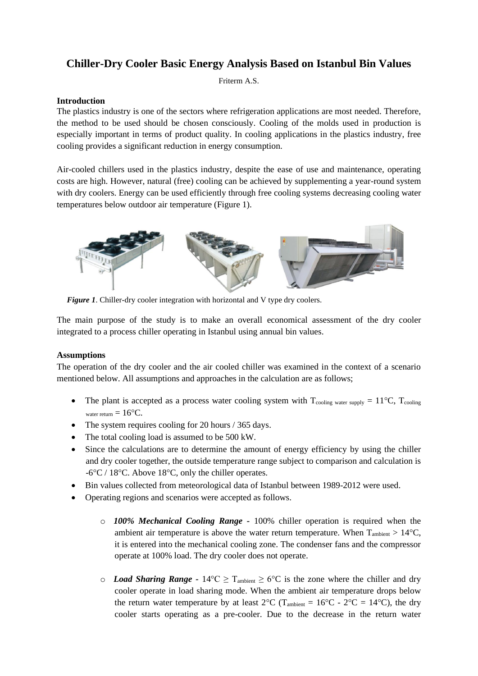# **Chiller-Dry Cooler Basic Energy Analysis Based on Istanbul Bin Values**

Friterm A.S.

### **Introduction**

The plastics industry is one of the sectors where refrigeration applications are most needed. Therefore, the method to be used should be chosen consciously. Cooling of the molds used in production is especially important in terms of product quality. In cooling applications in the plastics industry, free cooling provides a significant reduction in energy consumption.

Air-cooled chillers used in the plastics industry, despite the ease of use and maintenance, operating costs are high. However, natural (free) cooling can be achieved by supplementing a year-round system with dry coolers. Energy can be used efficiently through free cooling systems decreasing cooling water temperatures below outdoor air temperature (Figure 1).



*Figure 1*. Chiller-dry cooler integration with horizontal and V type dry coolers.

The main purpose of the study is to make an overall economical assessment of the dry cooler integrated to a process chiller operating in Istanbul using annual bin values.

# **Assumptions**

The operation of the dry cooler and the air cooled chiller was examined in the context of a scenario mentioned below. All assumptions and approaches in the calculation are as follows;

- The plant is accepted as a process water cooling system with  $T_{cooling}$  water supply  $= 11^{\circ}C$ ,  $T_{cooling}$ water return  $= 16$ °C.
- The system requires cooling for 20 hours / 365 days.
- The total cooling load is assumed to be 500 kW.
- Since the calculations are to determine the amount of energy efficiency by using the chiller and dry cooler together, the outside temperature range subject to comparison and calculation is -6°C / 18°C. Above 18°C, only the chiller operates.
- Bin values collected from meteorological data of Istanbul between 1989-2012 were used.
- Operating regions and scenarios were accepted as follows.
	- o *100% Mechanical Cooling Range -* 100% chiller operation is required when the ambient air temperature is above the water return temperature. When  $T_{\text{ambient}} > 14^{\circ}\text{C}$ , it is entered into the mechanical cooling zone. The condenser fans and the compressor operate at 100% load. The dry cooler does not operate.
	- o *Load Sharing Range* 14°C ≥ T<sub>ambient</sub> ≥ 6°C is the zone where the chiller and dry cooler operate in load sharing mode. When the ambient air temperature drops below the return water temperature by at least  $2^{\circ}C$  (T<sub>ambient</sub> =  $16^{\circ}C - 2^{\circ}C = 14^{\circ}C$ ), the dry cooler starts operating as a pre-cooler. Due to the decrease in the return water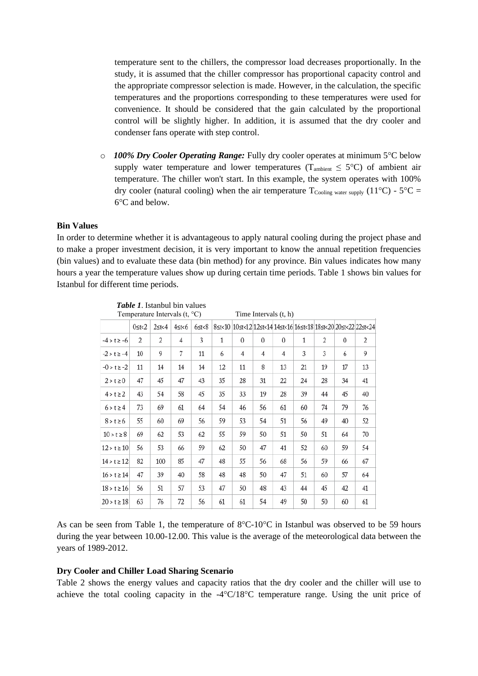temperature sent to the chillers, the compressor load decreases proportionally. In the study, it is assumed that the chiller compressor has proportional capacity control and the appropriate compressor selection is made. However, in the calculation, the specific temperatures and the proportions corresponding to these temperatures were used for convenience. It should be considered that the gain calculated by the proportional control will be slightly higher. In addition, it is assumed that the dry cooler and condenser fans operate with step control.

o *100% Dry Cooler Operating Range:* Fully dry cooler operates at minimum 5°C below supply water temperature and lower temperatures ( $T_{\text{ambient}} \leq 5^{\circ}C$ ) of ambient air temperature. The chiller won't start. In this example, the system operates with 100% dry cooler (natural cooling) when the air temperature  $T_{\text{Coline water supply}} (11^{\circ}C) - 5^{\circ}C =$ 6°C and below.

### **Bin Values**

In order to determine whether it is advantageous to apply natural cooling during the project phase and to make a proper investment decision, it is very important to know the annual repetition frequencies (bin values) and to evaluate these data (bin method) for any province. Bin values indicates how many hours a year the temperature values show up during certain time periods. Table 1 shows bin values for Istanbul for different time periods.

| Temperature Intervals $(t, {}^{\circ}C)$ |                |                |       |            |              | Time Intervals (t, h) |          |                |    |    |          |                                                                              |
|------------------------------------------|----------------|----------------|-------|------------|--------------|-----------------------|----------|----------------|----|----|----------|------------------------------------------------------------------------------|
|                                          | $0 \leq t < 2$ | $2 \leq t < 4$ | 4≤t<6 | $6$ st $8$ |              |                       |          |                |    |    |          | 85t<10   105t<12   125t<14   145t<16   165t<18   185t<20   205t<22   225t<24 |
| $-4 > t \ge -6$                          | 2              | 2              | 4     | 3          | $\mathbf{1}$ | $\theta$              | $\theta$ | $\theta$       | 1  | 2  | $\Omega$ | 2                                                                            |
| $-2 > t \ge -4$                          | 10             | 9              | 7     | 11         | 6            | $\overline{4}$        | 4        | $\overline{4}$ | 3  | 3  | 6        | 9                                                                            |
| $-0 > t \ge -2$                          | 11             | 14             | 14    | 14         | 12           | 11                    | 8        | 13             | 21 | 19 | 17       | 13                                                                           |
| $2 > t \ge 0$                            | 47             | 45             | 47    | 43         | 35           | 28                    | 31       | 22             | 24 | 28 | 34       | 41                                                                           |
| $4 > t \geq 2$                           | 43             | 54             | 58    | 45         | 35           | 33                    | 19       | 28             | 39 | 44 | 45       | 40                                                                           |
| $6 > t \geq 4$                           | 73             | 69             | 61    | 64         | 54           | 46                    | 56       | 61             | 60 | 74 | 79       | 76                                                                           |
| $8 > t \ge 6$                            | 55             | 60             | 69    | 56         | 59           | 53                    | 54       | 51             | 56 | 49 | 40       | 52                                                                           |
| $10 > t \ge 8$                           | 69             | 62             | 53    | 62         | 55           | 59                    | 50       | 51             | 50 | 51 | 64       | 70                                                                           |
| $12 > t \ge 10$                          | 56             | 53             | 66    | 59         | 62           | 50                    | 47       | 41             | 52 | 60 | 59       | 54                                                                           |
| $14 > t \ge 12$                          | 82             | 100            | 85    | 47         | 48           | 55                    | 56       | 68             | 56 | 59 | 66       | 67                                                                           |
| $16 > t \ge 14$                          | 47             | 39             | 40    | 58         | 48           | 48                    | 50       | 47             | 51 | 60 | 57       | 64                                                                           |
| $18 > t \ge 16$                          | 56             | 51             | 57    | 53         | 47           | 50                    | 48       | 43             | 44 | 45 | 42       | 41                                                                           |
| $20 > t \ge 18$                          | 63             | 76             | 72    | 56         | 61           | 61                    | 54       | 49             | 50 | 50 | 60       | 61                                                                           |
|                                          |                |                |       |            |              |                       |          |                |    |    |          |                                                                              |

*Table 1*. Istanbul bin values

As can be seen from Table 1, the temperature of  $8^{\circ}C \cdot 10^{\circ}C$  in Istanbul was observed to be 59 hours during the year between 10.00-12.00. This value is the average of the meteorological data between the years of 1989-2012.

#### **Dry Cooler and Chiller Load Sharing Scenario**

Table 2 shows the energy values and capacity ratios that the dry cooler and the chiller will use to achieve the total cooling capacity in the -4°C/18°C temperature range. Using the unit price of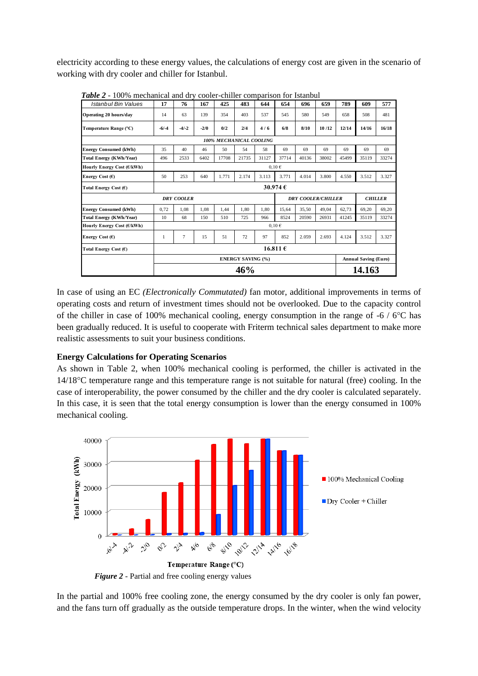electricity according to these energy values, the calculations of energy cost are given in the scenario of working with dry cooler and chiller for Istanbul.

| Istanbul Bin Values            | 17                       | 76      | 167    | 425   | 483   | 644   | 654   | 696   | 659                       | 789                         | 609            | 577    |  |  |
|--------------------------------|--------------------------|---------|--------|-------|-------|-------|-------|-------|---------------------------|-----------------------------|----------------|--------|--|--|
| Operating 20 hours/day         | 14                       | 63      | 139    | 354   | 403   | 537   | 545   | 580   | 549                       | 658                         | 508            | 481    |  |  |
| Temperature Range (°C)         | $-6/-4$                  | $-4/-2$ | $-2/0$ | 0/2   | 2/4   | 4/6   | 6/8   | 8/10  | 10/12                     | 12/14                       | 14/16          | 16/18  |  |  |
| <b>100% MECHANICAL COOLING</b> |                          |         |        |       |       |       |       |       |                           |                             |                |        |  |  |
| <b>Energy Consumed (kWh)</b>   | 35                       | 40      | 46     | 50    | 54    | 58    | 69    | 69    | 69                        | 69                          | 69             | 69     |  |  |
| Total Energy (KWh/Year)        | 496                      | 2533    | 6402   | 17708 | 21735 | 31127 | 37714 | 40136 | 38002                     | 45499                       | 35119          | 33274  |  |  |
| Hourly Energy Cost (€/kWh)     | $0.10 \in$               |         |        |       |       |       |       |       |                           |                             |                |        |  |  |
| Energy Cost $(\epsilon)$       | 50                       | 253     | 640    | 1.771 | 2.174 | 3.113 | 3.771 | 4.014 | 3.800                     | 4.550                       | 3.512          | 3.327  |  |  |
| Total Energy Cost $(E)$        | 30.974 $\epsilon$        |         |        |       |       |       |       |       |                           |                             |                |        |  |  |
| <b>DRY COOLER</b>              |                          |         |        |       |       |       |       |       | <b>DRY COOLER/CHILLER</b> |                             | <b>CHILLER</b> |        |  |  |
| <b>Energy Consumed (kWh)</b>   | 0,72                     | 1.08    | 1.08   | 1.44  | 1.80  | 1.80  | 15.64 | 35.50 | 49.04                     | 62.73                       | 69,20          | 69.20  |  |  |
| <b>Total Energy (KWh/Year)</b> | 10                       | 68      | 150    | 510   | 725   | 966   | 8524  | 20590 | 26931                     | 41245                       | 35119          | 33274  |  |  |
| Hourly Energy Cost (€/kWh)     | $0,10 \in$               |         |        |       |       |       |       |       |                           |                             |                |        |  |  |
| Energy Cost $(E)$              | 1                        | 7       | 15     | 51    | 72    | 97    | 852   | 2.059 | 2.693                     | 4.124                       | 3.512          | 3.327  |  |  |
| Total Energy Cost (€)          | 16.811 $\epsilon$        |         |        |       |       |       |       |       |                           |                             |                |        |  |  |
|                                | <b>ENERGY SAVING (%)</b> |         |        |       |       |       |       |       |                           | <b>Annual Saving (Euro)</b> |                |        |  |  |
|                                | 46%                      |         |        |       |       |       |       |       |                           |                             |                | 14.163 |  |  |

*Table 2* - 100% mechanical and dry cooler-chiller comparison for Istanbul

In case of using an EC *(Electronically Commutated)* fan motor, additional improvements in terms of operating costs and return of investment times should not be overlooked. Due to the capacity control of the chiller in case of 100% mechanical cooling, energy consumption in the range of -6 / 6°C has been gradually reduced. It is useful to cooperate with Friterm technical sales department to make more realistic assessments to suit your business conditions.

### **Energy Calculations for Operating Scenarios**

As shown in Table 2, when 100% mechanical cooling is performed, the chiller is activated in the 14/18°C temperature range and this temperature range is not suitable for natural (free) cooling. In the case of interoperability, the power consumed by the chiller and the dry cooler is calculated separately. In this case, it is seen that the total energy consumption is lower than the energy consumed in 100% mechanical cooling.



*Figure 2* - Partial and free cooling energy values

In the partial and 100% free cooling zone, the energy consumed by the dry cooler is only fan power, and the fans turn off gradually as the outside temperature drops. In the winter, when the wind velocity